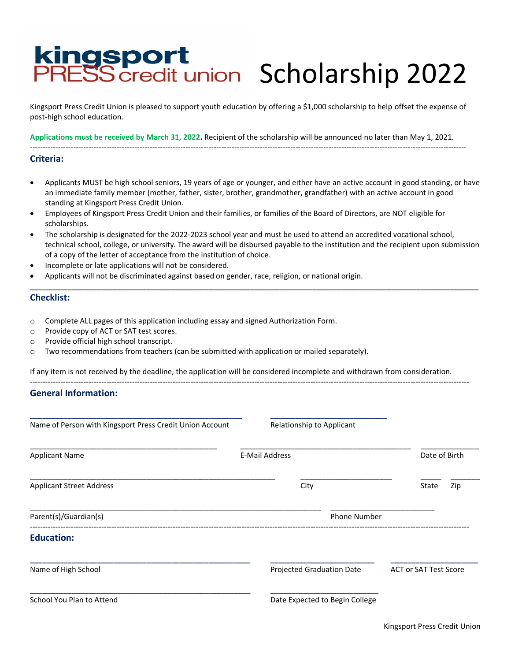# Kingsport<br>PRESScredit union Scholarship 2022

Kingsport Press Credit Union is pleased to support youth education by offering a \$1,000 scholarship to help offset the expense of post-high school education.

**Applications must be received by March 31, 2022.** Recipient of the scholarship will be announced no later than May 1, 2021. ---------------------------------------------------------------------------------------------------------------------------------------------------------------------------

**Criteria:**

- Applicants MUST be high school seniors, 19 years of age or younger, and either have an active account in good standing, or have an immediate family member (mother, father, sister, brother, grandmother, grandfather) with an active account in good standing at Kingsport Press Credit Union.
- Employees of Kingsport Press Credit Union and their families, or families of the Board of Directors, are NOT eligible for scholarships.
- The scholarship is designated for the 2022-2023 school year and must be used to attend an accredited vocational school, technical school, college, or university. The award will be disbursed payable to the institution and the recipient upon submission of a copy of the letter of acceptance from the institution of choice.

\_\_\_\_\_\_\_\_\_\_\_\_\_\_\_\_\_\_\_\_\_\_\_\_\_\_\_\_\_\_\_\_\_\_\_\_\_\_\_\_\_\_\_\_\_\_\_\_\_\_\_\_\_\_\_\_\_\_\_\_\_\_\_\_\_\_\_\_\_\_\_\_\_\_\_\_\_\_\_\_\_\_\_\_\_\_\_\_\_\_\_\_\_\_\_\_\_\_\_\_\_\_\_\_\_\_\_\_

- Incomplete or late applications will not be considered.
- Applicants will not be discriminated against based on gender, race, religion, or national origin.

### **Checklist:**

- o Complete ALL pages of this application including essay and signed Authorization Form.
- o Provide copy of ACT or SAT test scores.
- o Provide official high school transcript.
- o Two recommendations from teachers (can be submitted with application or mailed separately).

If any item is not received by the deadline, the application will be considered incomplete and withdrawn from consideration.

----------------------------------------------------------------------------------------------------------------------------------------------------------------------------

### **General Information:**

| Name of Person with Kingsport Press Credit Union Account | Relationship to Applicant      |                              |  |
|----------------------------------------------------------|--------------------------------|------------------------------|--|
| <b>Applicant Name</b>                                    | <b>E-Mail Address</b>          | Date of Birth                |  |
| <b>Applicant Street Address</b>                          | City                           | State<br>Zip                 |  |
| Parent(s)/Guardian(s)                                    | <b>Phone Number</b>            |                              |  |
| <b>Education:</b>                                        |                                |                              |  |
| Name of High School                                      | Projected Graduation Date      | <b>ACT or SAT Test Score</b> |  |
| School You Plan to Attend                                | Date Expected to Begin College |                              |  |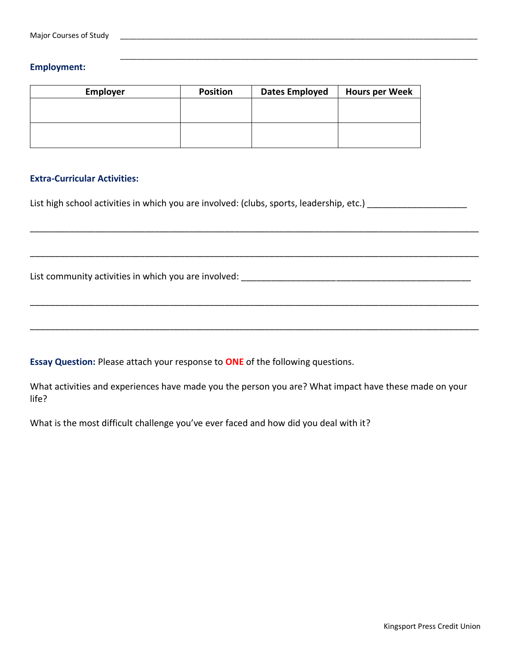## **Employment:**

| Employer | <b>Position</b> | <b>Dates Employed</b> | <b>Hours per Week</b> |
|----------|-----------------|-----------------------|-----------------------|
|          |                 |                       |                       |
|          |                 |                       |                       |
|          |                 |                       |                       |
|          |                 |                       |                       |

\_\_\_\_\_\_\_\_\_\_\_\_\_\_\_\_\_\_\_\_\_\_\_\_\_\_\_\_\_\_\_\_\_\_\_\_\_\_\_\_\_\_\_\_\_\_\_\_\_\_\_\_\_\_\_\_\_\_\_\_\_\_\_\_\_\_\_\_\_\_\_\_\_\_\_\_\_\_\_\_\_\_\_\_\_\_

## **Extra-Curricular Activities:**

List high school activities in which you are involved: (clubs, sports, leadership, etc.) \_\_\_\_\_\_\_\_\_\_\_\_\_\_\_\_\_\_\_\_\_

List community activities in which you are involved: \_\_\_\_\_\_\_\_\_\_\_\_\_\_\_\_\_\_\_\_\_\_\_\_\_\_\_\_\_\_\_\_\_\_\_\_\_\_\_\_\_\_\_\_\_\_

**Essay Question:** Please attach your response to **ONE** of the following questions.

What activities and experiences have made you the person you are? What impact have these made on your life?

\_\_\_\_\_\_\_\_\_\_\_\_\_\_\_\_\_\_\_\_\_\_\_\_\_\_\_\_\_\_\_\_\_\_\_\_\_\_\_\_\_\_\_\_\_\_\_\_\_\_\_\_\_\_\_\_\_\_\_\_\_\_\_\_\_\_\_\_\_\_\_\_\_\_\_\_\_\_\_\_\_\_\_\_\_\_\_\_\_\_

\_\_\_\_\_\_\_\_\_\_\_\_\_\_\_\_\_\_\_\_\_\_\_\_\_\_\_\_\_\_\_\_\_\_\_\_\_\_\_\_\_\_\_\_\_\_\_\_\_\_\_\_\_\_\_\_\_\_\_\_\_\_\_\_\_\_\_\_\_\_\_\_\_\_\_\_\_\_\_\_\_\_\_\_\_\_\_\_\_\_

\_\_\_\_\_\_\_\_\_\_\_\_\_\_\_\_\_\_\_\_\_\_\_\_\_\_\_\_\_\_\_\_\_\_\_\_\_\_\_\_\_\_\_\_\_\_\_\_\_\_\_\_\_\_\_\_\_\_\_\_\_\_\_\_\_\_\_\_\_\_\_\_\_\_\_\_\_\_\_\_\_\_\_\_\_\_\_\_\_\_

\_\_\_\_\_\_\_\_\_\_\_\_\_\_\_\_\_\_\_\_\_\_\_\_\_\_\_\_\_\_\_\_\_\_\_\_\_\_\_\_\_\_\_\_\_\_\_\_\_\_\_\_\_\_\_\_\_\_\_\_\_\_\_\_\_\_\_\_\_\_\_\_\_\_\_\_\_\_\_\_\_\_\_\_\_\_\_\_\_\_

What is the most difficult challenge you've ever faced and how did you deal with it?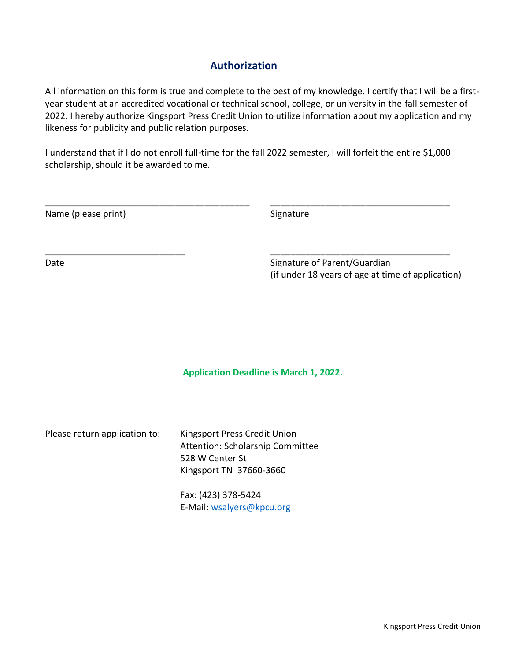# **Authorization**

All information on this form is true and complete to the best of my knowledge. I certify that I will be a firstyear student at an accredited vocational or technical school, college, or university in the fall semester of 2022. I hereby authorize Kingsport Press Credit Union to utilize information about my application and my likeness for publicity and public relation purposes.

I understand that if I do not enroll full-time for the fall 2022 semester, I will forfeit the entire \$1,000 scholarship, should it be awarded to me.

\_\_\_\_\_\_\_\_\_\_\_\_\_\_\_\_\_\_\_\_\_\_\_\_\_\_\_\_\_\_\_\_\_\_\_\_\_\_\_\_\_ \_\_\_\_\_\_\_\_\_\_\_\_\_\_\_\_\_\_\_\_\_\_\_\_\_\_\_\_\_\_\_\_\_\_\_\_

\_\_\_\_\_\_\_\_\_\_\_\_\_\_\_\_\_\_\_\_\_\_\_\_\_\_\_\_ \_\_\_\_\_\_\_\_\_\_\_\_\_\_\_\_\_\_\_\_\_\_\_\_\_\_\_\_\_\_\_\_\_\_\_\_

Name (please print) Signature

Date **Signature of Parent/Guardian** (if under 18 years of age at time of application)

**Application Deadline is March 1, 2022.**

Please return application to: Kingsport Press Credit Union Attention: Scholarship Committee 528 W Center St Kingsport TN 37660-3660

> Fax: (423) 378-5424 E-Mail: [wsalyers@kpcu.org](mailto:wsalyers@kpcu.org)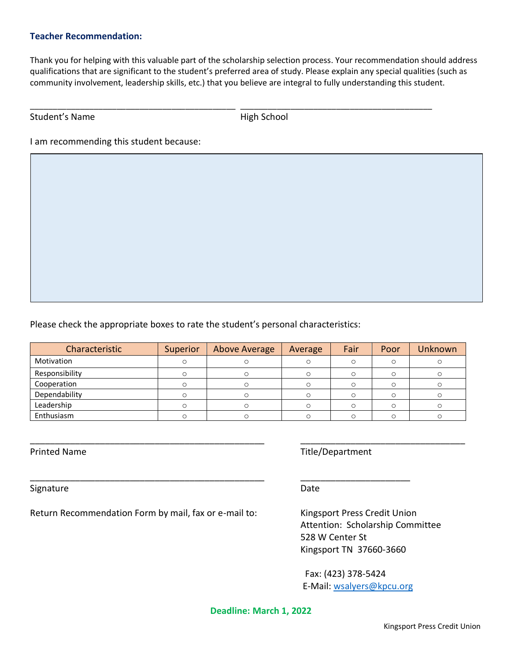## **Teacher Recommendation:**

Thank you for helping with this valuable part of the scholarship selection process. Your recommendation should address qualifications that are significant to the student's preferred area of study. Please explain any special qualities (such as community involvement, leadership skills, etc.) that you believe are integral to fully understanding this student.

\_\_\_\_\_\_\_\_\_\_\_\_\_\_\_\_\_\_\_\_\_\_\_\_\_\_\_\_\_\_\_\_\_\_\_\_\_\_\_\_\_\_\_\_\_ \_\_\_\_\_\_\_\_\_\_\_\_\_\_\_\_\_\_\_\_\_\_\_\_\_\_\_\_\_\_\_\_\_\_\_\_\_\_\_\_\_\_

## Student's Name High School

I am recommending this student because:

Please check the appropriate boxes to rate the student's personal characteristics:

| Characteristic | Superior | Above Average | Average | Fair | Poor | Unknown |
|----------------|----------|---------------|---------|------|------|---------|
| Motivation     |          |               |         |      |      |         |
| Responsibility |          |               |         |      |      |         |
| Cooperation    |          |               |         |      |      |         |
| Dependability  |          |               |         |      |      |         |
| Leadership     |          |               |         |      |      |         |
| Enthusiasm     |          |               |         |      |      |         |

\_\_\_\_\_\_\_\_\_\_\_\_\_\_\_\_\_\_\_\_\_\_\_\_\_\_\_\_\_\_\_\_\_\_\_\_\_\_\_\_\_\_\_\_\_\_\_ \_\_\_\_\_\_\_\_\_\_\_\_\_\_\_\_\_\_\_\_\_\_\_\_\_\_\_\_\_\_\_\_\_

\_\_\_\_\_\_\_\_\_\_\_\_\_\_\_\_\_\_\_\_\_\_\_\_\_\_\_\_\_\_\_\_\_\_\_\_\_\_\_\_\_\_\_\_\_\_\_ \_\_\_\_\_\_\_\_\_\_\_\_\_\_\_\_\_\_\_\_\_\_

Signature Date Date Date Date Date Date

Return Recommendation Form by mail, fax or e-mail to: Kingsport Press Credit Union

Printed Name Title/Department

Attention: Scholarship Committee 528 W Center St Kingsport TN 37660-3660

Fax: (423) 378-5424 E-Mail[: wsalyers@kpcu.org](mailto:wsalyers@kpcu.org)

**Deadline: March 1, 2022**